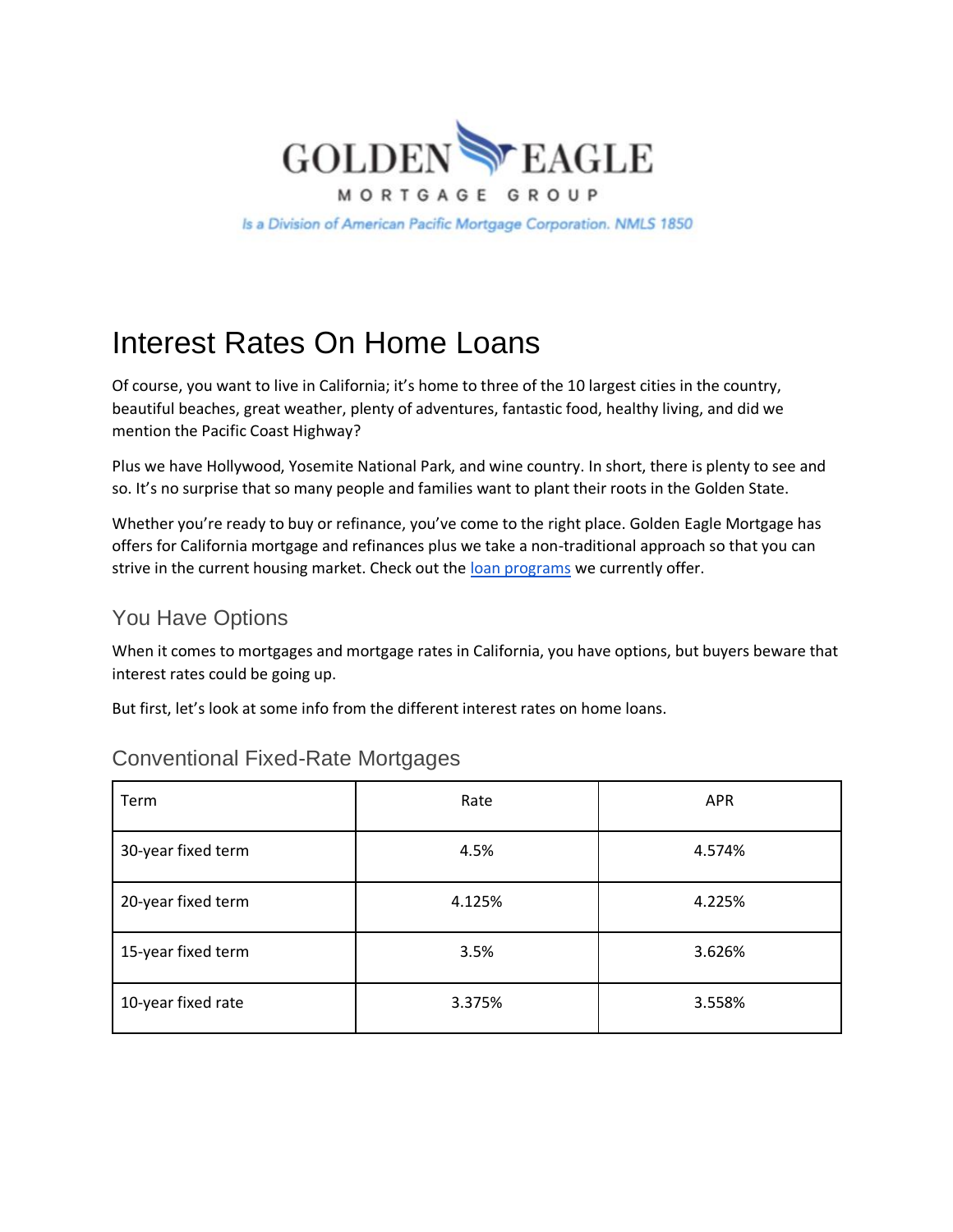

Is a Division of American Pacific Mortgage Corporation. NMLS 1850

# Interest Rates On Home Loans

Of course, you want to live in California; it's home to three of the 10 largest cities in the country, beautiful beaches, great weather, plenty of adventures, fantastic food, healthy living, and did we mention the Pacific Coast Highway?

Plus we have Hollywood, Yosemite National Park, and wine country. In short, there is plenty to see and so. It's no surprise that so many people and families want to plant their roots in the Golden State.

Whether you're ready to buy or refinance, you've come to the right place. Golden Eagle Mortgage has offers for California mortgage and refinances plus we take a non-traditional approach so that you can strive in the current housing market. Check out the [loan programs](https://goldeneaglemortgagegroup.com/real-estate-news/loan-programs-golden-eagle-mortgage/) we currently offer.

#### You Have Options

When it comes to mortgages and mortgage rates in California, you have options, but buyers beware that interest rates could be going up.

But first, let's look at some info from the different interest rates on home loans.

| Term               | Rate   | <b>APR</b> |
|--------------------|--------|------------|
| 30-year fixed term | 4.5%   | 4.574%     |
| 20-year fixed term | 4.125% | 4.225%     |
| 15-year fixed term | 3.5%   | 3.626%     |
| 10-year fixed rate | 3.375% | 3.558%     |

#### Conventional Fixed-Rate Mortgages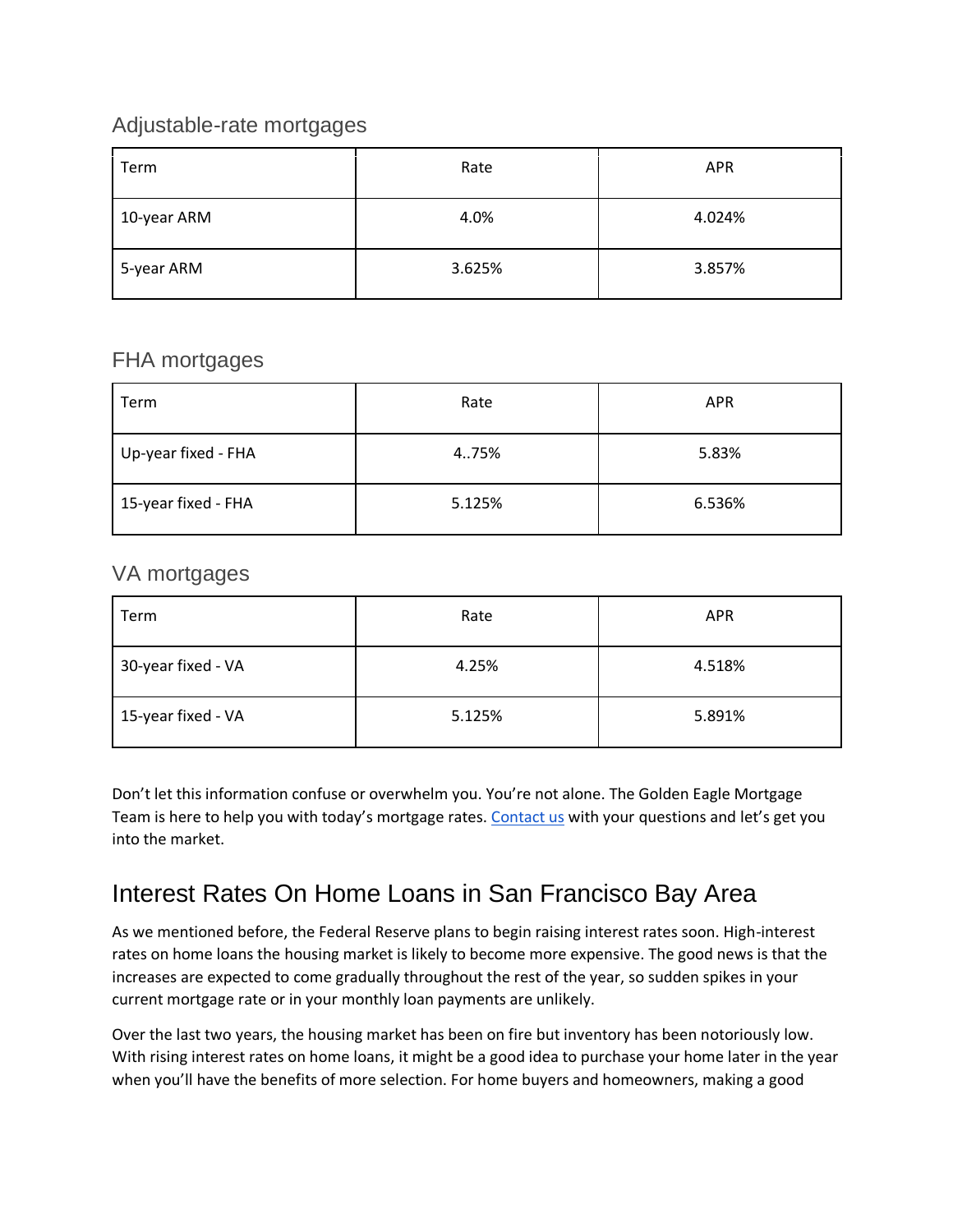#### Adjustable-rate mortgages

| Term        | Rate   | <b>APR</b> |
|-------------|--------|------------|
| 10-year ARM | 4.0%   | 4.024%     |
| 5-year ARM  | 3.625% | 3.857%     |

#### FHA mortgages

| Term                | Rate   | <b>APR</b> |
|---------------------|--------|------------|
| Up-year fixed - FHA | 4.75%  | 5.83%      |
| 15-year fixed - FHA | 5.125% | 6.536%     |

#### VA mortgages

| Term               | Rate   | <b>APR</b> |
|--------------------|--------|------------|
| 30-year fixed - VA | 4.25%  | 4.518%     |
| 15-year fixed - VA | 5.125% | 5.891%     |

Don't let this information confuse or overwhelm you. You're not alone. The Golden Eagle Mortgage Team is here to help you with today's mortgage rates. [Contact us](https://goldeneaglemortgagegroup.com/contact/) with your questions and let's get you into the market.

## Interest Rates On Home Loans in San Francisco Bay Area

As we mentioned before, the Federal Reserve plans to begin raising interest rates soon. High-interest rates on home loans the housing market is likely to become more expensive. The good news is that the increases are expected to come gradually throughout the rest of the year, so sudden spikes in your current mortgage rate or in your monthly loan payments are unlikely.

Over the last two years, the housing market has been on fire but inventory has been notoriously low. With rising interest rates on home loans, it might be a good idea to purchase your home later in the year when you'll have the benefits of more selection. For home buyers and homeowners, making a good